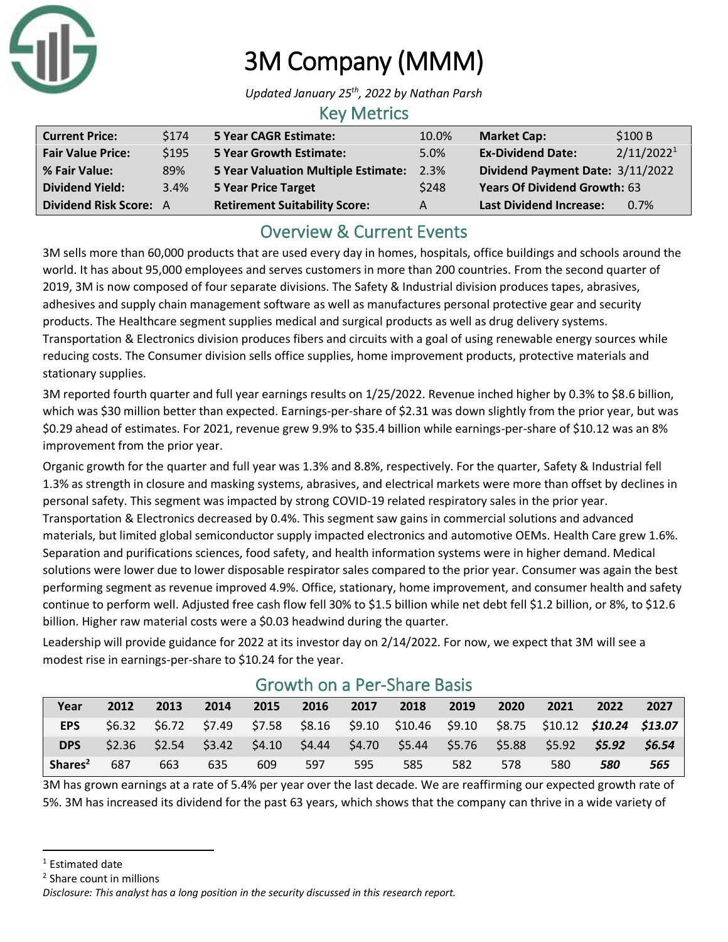

# 3M Company (MMM)

*Updated January 25 th, 2022 by Nathan Parsh*

#### Key Metrics

| <b>Current Price:</b>    | \$174 | 5 Year CAGR Estimate:                    | 10.0% | <b>Market Cap:</b>                  | \$100B                 |
|--------------------------|-------|------------------------------------------|-------|-------------------------------------|------------------------|
| <b>Fair Value Price:</b> | \$195 | <b>5 Year Growth Estimate:</b>           | 5.0%  | <b>Ex-Dividend Date:</b>            | 2/11/2022 <sup>1</sup> |
| % Fair Value:            | 89%   | 5 Year Valuation Multiple Estimate: 2.3% |       | Dividend Payment Date: 3/11/2022    |                        |
| <b>Dividend Yield:</b>   | 3.4%  | 5 Year Price Target                      | \$248 | <b>Years Of Dividend Growth: 63</b> |                        |
| Dividend Risk Score: A   |       | <b>Retirement Suitability Score:</b>     | A     | <b>Last Dividend Increase:</b>      | 0.7%                   |

### Overview & Current Events

3M sells more than 60,000 products that are used every day in homes, hospitals, office buildings and schools around the world. It has about 95,000 employees and serves customers in more than 200 countries. From the second quarter of 2019, 3M is now composed of four separate divisions. The Safety & Industrial division produces tapes, abrasives, adhesives and supply chain management software as well as manufactures personal protective gear and security products. The Healthcare segment supplies medical and surgical products as well as drug delivery systems. Transportation & Electronics division produces fibers and circuits with a goal of using renewable energy sources while reducing costs. The Consumer division sells office supplies, home improvement products, protective materials and stationary supplies.

3M reported fourth quarter and full year earnings results on 1/25/2022. Revenue inched higher by 0.3% to \$8.6 billion, which was \$30 million better than expected. Earnings-per-share of \$2.31 was down slightly from the prior year, but was \$0.29 ahead of estimates. For 2021, revenue grew 9.9% to \$35.4 billion while earnings-per-share of \$10.12 was an 8% improvement from the prior year.

Organic growth for the quarter and full year was 1.3% and 8.8%, respectively. For the quarter, Safety & Industrial fell 1.3% as strength in closure and masking systems, abrasives, and electrical markets were more than offset by declines in personal safety. This segment was impacted by strong COVID-19 related respiratory sales in the prior year. Transportation & Electronics decreased by 0.4%. This segment saw gains in commercial solutions and advanced materials, but limited global semiconductor supply impacted electronics and automotive OEMs. Health Care grew 1.6%. Separation and purifications sciences, food safety, and health information systems were in higher demand. Medical solutions were lower due to lower disposable respirator sales compared to the prior year. Consumer was again the best performing segment as revenue improved 4.9%. Office, stationary, home improvement, and consumer health and safety continue to perform well. Adjusted free cash flow fell 30% to \$1.5 billion while net debt fell \$1.2 billion, or 8%, to \$12.6 billion. Higher raw material costs were a \$0.03 headwind during the quarter.

Leadership will provide guidance for 2022 at its investor day on 2/14/2022. For now, we expect that 3M will see a modest rise in earnings-per-share to \$10.24 for the year.

| Year                | 2012 | 2013            | 2014 | 2015 | 2016 | 2017 | 2018                                                     | 2019 | 2020 | 2021                                  | 2022   | 2027   |
|---------------------|------|-----------------|------|------|------|------|----------------------------------------------------------|------|------|---------------------------------------|--------|--------|
| <b>EPS</b>          |      |                 |      |      |      |      | \$6.32 \$6.72 \$7.49 \$7.58 \$8.16 \$9.10 \$10.46 \$9.10 |      |      | \$8.75 \$10.12 <b>\$10.24 \$13.07</b> |        |        |
| <b>DPS</b>          |      | $$2.36$ $$2.54$ |      |      |      |      | \$3.42 \$4.10 \$4.44 \$4.70 \$5.44 \$5.76 \$5.88         |      |      | $$5.92$ $$$                           | \$5.92 | \$6.54 |
| Shares <sup>2</sup> | 687  | 663             | 635  | 609  | 597  | 595  | 585                                                      | 582  | 578  | 580                                   | 580    | 565    |

### Growth on a Per-Share Basis

3M has grown earnings at a rate of 5.4% per year over the last decade. We are reaffirming our expected growth rate of 5%. 3M has increased its dividend for the past 63 years, which shows that the company can thrive in a wide variety of

<sup>&</sup>lt;sup>1</sup> Estimated date

<sup>&</sup>lt;sup>2</sup> Share count in millions

*Disclosure: This analyst has a long position in the security discussed in this research report.*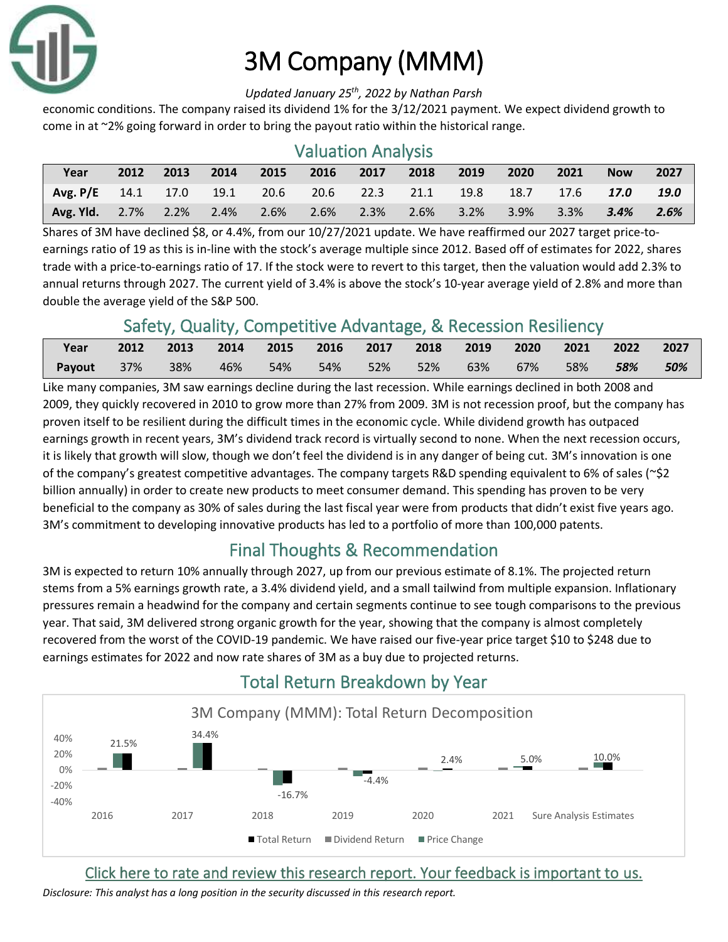

# 3M Company (MMM)

#### *Updated January 25 th, 2022 by Nathan Parsh*

economic conditions. The company raised its dividend 1% for the 3/12/2021 payment. We expect dividend growth to come in at ~2% going forward in order to bring the payout ratio within the historical range.

| <b>Valuation Analysis</b>     |      |      |      |      |      |           |      |      |         |      |             |             |
|-------------------------------|------|------|------|------|------|-----------|------|------|---------|------|-------------|-------------|
| Year                          | 2012 | 2013 | 2014 | 2015 | 2016 | 2017      | 2018 | 2019 | 2020    | 2021 | <b>Now</b>  | 2027        |
| Avg. $P/E$ 14.1 17.0          |      |      | 19.1 | 20.6 |      | 20.6 22.3 | 21.1 | 19.8 | 18.7    | 17.6 | <b>17.0</b> | <b>19.0</b> |
| <b>Avg. Yid.</b> $2.7\%$ 2.2% |      |      | 2.4% | 2.6% | 2.6% | $2.3\%$   | 2.6% | 3.2% | $3.9\%$ | 3.3% | 3.4%        | 2.6%        |

Shares of 3M have declined \$8, or 4.4%, from our 10/27/2021 update. We have reaffirmed our 2027 target price-toearnings ratio of 19 as this is in-line with the stock's average multiple since 2012. Based off of estimates for 2022, shares trade with a price-to-earnings ratio of 17. If the stock were to revert to this target, then the valuation would add 2.3% to annual returns through 2027. The current yield of 3.4% is above the stock's 10-year average yield of 2.8% and more than double the average yield of the S&P 500.

### Safety, Quality, Competitive Advantage, & Recession Resiliency

| Year                                               | 2012 2013 2014 2015 2016 2017 2018 2019 2020 2021 2022 2027 |  |  |  |  |       |
|----------------------------------------------------|-------------------------------------------------------------|--|--|--|--|-------|
| Payout 37% 38% 46% 54% 54% 52% 52% 63% 67% 58% 58% |                                                             |  |  |  |  | - 50% |

Like many companies, 3M saw earnings decline during the last recession. While earnings declined in both 2008 and 2009, they quickly recovered in 2010 to grow more than 27% from 2009. 3M is not recession proof, but the company has proven itself to be resilient during the difficult times in the economic cycle. While dividend growth has outpaced earnings growth in recent years, 3M's dividend track record is virtually second to none. When the next recession occurs, it is likely that growth will slow, though we don't feel the dividend is in any danger of being cut. 3M's innovation is one of the company's greatest competitive advantages. The company targets R&D spending equivalent to 6% of sales (~\$2 billion annually) in order to create new products to meet consumer demand. This spending has proven to be very beneficial to the company as 30% of sales during the last fiscal year were from products that didn't exist five years ago. 3M's commitment to developing innovative products has led to a portfolio of more than 100,000 patents.

### Final Thoughts & Recommendation

3M is expected to return 10% annually through 2027, up from our previous estimate of 8.1%. The projected return stems from a 5% earnings growth rate, a 3.4% dividend yield, and a small tailwind from multiple expansion. Inflationary pressures remain a headwind for the company and certain segments continue to see tough comparisons to the previous year. That said, 3M delivered strong organic growth for the year, showing that the company is almost completely recovered from the worst of the COVID-19 pandemic. We have raised our five-year price target \$10 to \$248 due to earnings estimates for 2022 and now rate shares of 3M as a buy due to projected returns.



## Total Return Breakdown by Year

[Click here to rate and review this research report. Your feedback is important to us.](https://suredividend.typeform.com/to/pOfbkh)

*Disclosure: This analyst has a long position in the security discussed in this research report.*